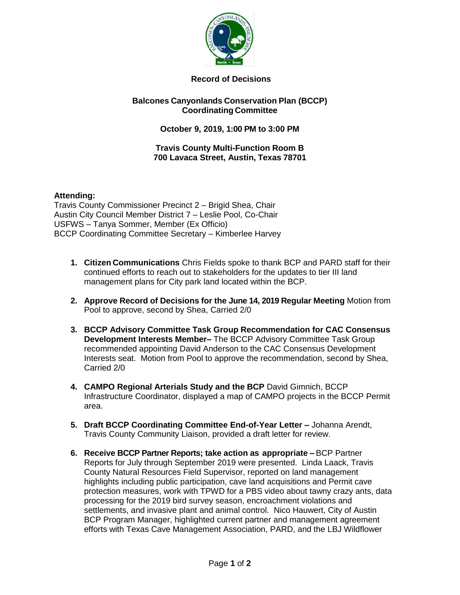

# **Record of Decisions**

## **Balcones Canyonlands Conservation Plan (BCCP) Coordinating Committee**

# **October 9, 2019, 1:00 PM to 3:00 PM**

#### **Travis County Multi-Function Room B 700 Lavaca Street, Austin, Texas 78701**

## **Attending:**

Travis County Commissioner Precinct 2 – Brigid Shea, Chair Austin City Council Member District 7 – Leslie Pool, Co-Chair USFWS – Tanya Sommer, Member (Ex Officio) BCCP Coordinating Committee Secretary – Kimberlee Harvey

- **1. Citizen Communications** Chris Fields spoke to thank BCP and PARD staff for their continued efforts to reach out to stakeholders for the updates to tier III land management plans for City park land located within the BCP.
- **2. Approve Record of Decisions for the June 14, 2019 Regular Meeting** Motion from Pool to approve, second by Shea, Carried 2/0
- **3. BCCP Advisory Committee Task Group Recommendation for CAC Consensus Development Interests Member–** The BCCP Advisory Committee Task Group recommended appointing David Anderson to the CAC Consensus Development Interests seat. Motion from Pool to approve the recommendation, second by Shea, Carried 2/0
- **4. CAMPO Regional Arterials Study and the BCP** David Gimnich, BCCP Infrastructure Coordinator, displayed a map of CAMPO projects in the BCCP Permit area.
- **5. Draft BCCP Coordinating Committee End-of-Year Letter –** Johanna Arendt, Travis County Community Liaison, provided a draft letter for review.
- **6. Receive BCCP Partner Reports; take action as appropriate –** BCP Partner Reports for July through September 2019 were presented. Linda Laack, Travis County Natural Resources Field Supervisor, reported on land management highlights including public participation, cave land acquisitions and Permit cave protection measures, work with TPWD for a PBS video about tawny crazy ants, data processing for the 2019 bird survey season, encroachment violations and settlements, and invasive plant and animal control. Nico Hauwert, City of Austin BCP Program Manager, highlighted current partner and management agreement efforts with Texas Cave Management Association, PARD, and the LBJ Wildflower